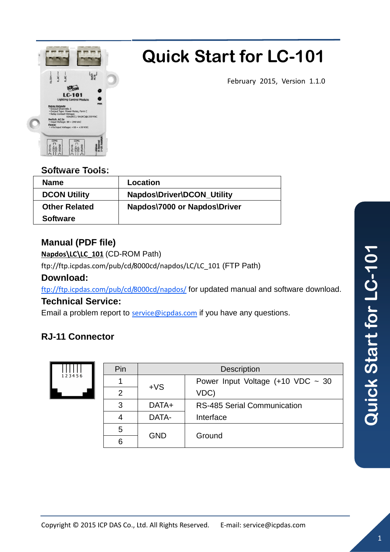

# **Quick Start for LC-101**

February 2015, Version 1.1.0

### **Software Tools:**

| <b>Name</b>          | Location                     |
|----------------------|------------------------------|
| <b>DCON Utility</b>  | Napdos\Driver\DCON_Utility   |
| <b>Other Related</b> | Napdos\7000 or Napdos\Driver |
| <b>Software</b>      |                              |

# **Manual (PDF file)**

**Napdos\LC\LC\_101** (CD-ROM Path)

ftp://ftp.icpdas.com/pub/cd/8000cd/napdos/LC/LC\_101 (FTP Path)

### **Download:**

ftp://ftp.icpdas.com/pub/cd/8000cd/napdos/ for updated manual and software download.

### **Technical Service:**

Email a problem report to service@icpdas.com if you have any questions.

# **RJ-11 Connector**



| Pin | <b>Description</b> |                                     |  |
|-----|--------------------|-------------------------------------|--|
|     | $+VS$              | Power Input Voltage $(+10$ VDC ~ 30 |  |
| 2   |                    | VDC)                                |  |
| 3   | DATA+              | RS-485 Serial Communication         |  |
| 4   | DATA-              | Interface                           |  |
| 5   | <b>GND</b>         | Ground                              |  |
| 6   |                    |                                     |  |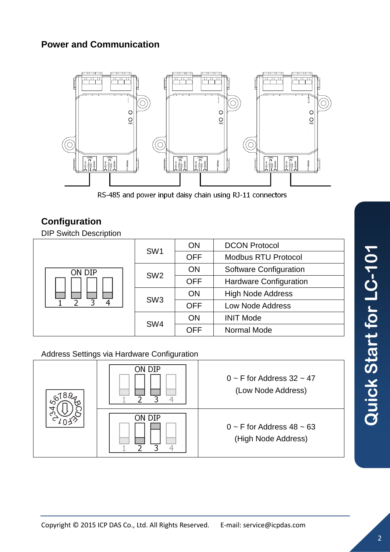# **Power and Communication**



RS-485 and power input daisy chain using RJ-11 connectors

# **Configuration**

DIP Switch Description

| ON DIP<br>4 | SW <sub>1</sub> | ON         | <b>DCON Protocol</b>          |
|-------------|-----------------|------------|-------------------------------|
|             |                 | <b>OFF</b> | <b>Modbus RTU Protocol</b>    |
|             | SW <sub>2</sub> | ON         | <b>Software Configuration</b> |
|             |                 | <b>OFF</b> | <b>Hardware Configuration</b> |
|             | SW <sub>3</sub> | <b>ON</b>  | <b>High Node Address</b>      |
|             |                 | <b>OFF</b> | <b>Low Node Address</b>       |
|             | SW <sub>4</sub> | <b>ON</b>  | <b>INIT Mode</b>              |
|             |                 | <b>OFF</b> | Normal Mode                   |

#### Address Settings via Hardware Configuration

| ့ဝ<br>4                   | on dip | $0 \sim$ F for Address 32 $\sim$ 47<br>(Low Node Address)  |
|---------------------------|--------|------------------------------------------------------------|
| $\mathsf{c}^{\mathsf{c}}$ | on dip | $0 \sim$ F for Address 48 $\sim$ 63<br>(High Node Address) |